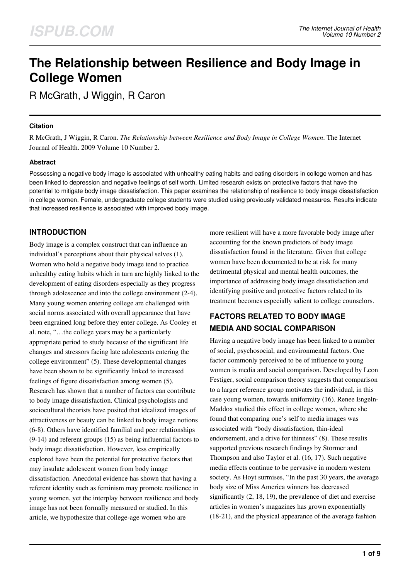# **The Relationship between Resilience and Body Image in College Women**

R McGrath, J Wiggin, R Caron

#### **Citation**

R McGrath, J Wiggin, R Caron. *The Relationship between Resilience and Body Image in College Women*. The Internet Journal of Health. 2009 Volume 10 Number 2.

#### **Abstract**

Possessing a negative body image is associated with unhealthy eating habits and eating disorders in college women and has been linked to depression and negative feelings of self worth. Limited research exists on protective factors that have the potential to mitigate body image dissatisfaction. This paper examines the relationship of resilience to body image dissatisfaction in college women. Female, undergraduate college students were studied using previously validated measures. Results indicate that increased resilience is associated with improved body image.

# **INTRODUCTION**

Body image is a complex construct that can influence an individual's perceptions about their physical selves (1). Women who hold a negative body image tend to practice unhealthy eating habits which in turn are highly linked to the development of eating disorders especially as they progress through adolescence and into the college environment (2-4). Many young women entering college are challenged with social norms associated with overall appearance that have been engrained long before they enter college. As Cooley et al. note, "…the college years may be a particularly appropriate period to study because of the significant life changes and stressors facing late adolescents entering the college environment" (5). These developmental changes have been shown to be significantly linked to increased feelings of figure dissatisfaction among women (5). Research has shown that a number of factors can contribute to body image dissatisfaction. Clinical psychologists and sociocultural theorists have posited that idealized images of attractiveness or beauty can be linked to body image notions (6-8). Others have identified familial and peer relationships (9-14) and referent groups (15) as being influential factors to body image dissatisfaction. However, less empirically explored have been the potential for protective factors that may insulate adolescent women from body image dissatisfaction. Anecdotal evidence has shown that having a referent identity such as feminism may promote resilience in young women, yet the interplay between resilience and body image has not been formally measured or studied. In this article, we hypothesize that college-age women who are

more resilient will have a more favorable body image after accounting for the known predictors of body image dissatisfaction found in the literature. Given that college women have been documented to be at risk for many detrimental physical and mental health outcomes, the importance of addressing body image dissatisfaction and identifying positive and protective factors related to its treatment becomes especially salient to college counselors.

# **FACTORS RELATED TO BODY IMAGE MEDIA AND SOCIAL COMPARISON**

Having a negative body image has been linked to a number of social, psychosocial, and environmental factors. One factor commonly perceived to be of influence to young women is media and social comparison. Developed by Leon Festiger, social comparison theory suggests that comparison to a larger reference group motivates the individual, in this case young women, towards uniformity (16). Renee Engeln-Maddox studied this effect in college women, where she found that comparing one's self to media images was associated with "body dissatisfaction, thin-ideal endorsement, and a drive for thinness" (8). These results supported previous research findings by Stormer and Thompson and also Taylor et al. (16, 17). Such negative media effects continue to be pervasive in modern western society. As Hoyt surmises, "In the past 30 years, the average body size of Miss America winners has decreased significantly (2, 18, 19), the prevalence of diet and exercise articles in women's magazines has grown exponentially (18-21), and the physical appearance of the average fashion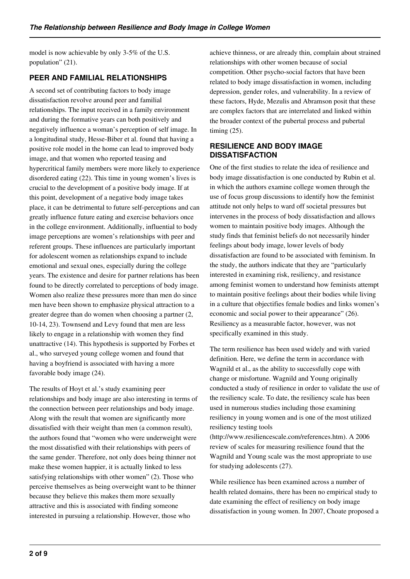model is now achievable by only 3-5% of the U.S. population" (21).

# **PEER AND FAMILIAL RELATIONSHIPS**

A second set of contributing factors to body image dissatisfaction revolve around peer and familial relationships. The input received in a family environment and during the formative years can both positively and negatively influence a woman's perception of self image. In a longitudinal study, Hesse-Biber et al. found that having a positive role model in the home can lead to improved body image, and that women who reported teasing and hypercritical family members were more likely to experience disordered eating (22). This time in young women's lives is crucial to the development of a positive body image. If at this point, development of a negative body image takes place, it can be detrimental to future self-perceptions and can greatly influence future eating and exercise behaviors once in the college environment. Additionally, influential to body image perceptions are women's relationships with peer and referent groups. These influences are particularly important for adolescent women as relationships expand to include emotional and sexual ones, especially during the college years. The existence and desire for partner relations has been found to be directly correlated to perceptions of body image. Women also realize these pressures more than men do since men have been shown to emphasize physical attraction to a greater degree than do women when choosing a partner (2, 10-14, 23). Townsend and Levy found that men are less likely to engage in a relationship with women they find unattractive (14). This hypothesis is supported by Forbes et al., who surveyed young college women and found that having a boyfriend is associated with having a more favorable body image (24).

The results of Hoyt et al.'s study examining peer relationships and body image are also interesting in terms of the connection between peer relationships and body image. Along with the result that women are significantly more dissatisfied with their weight than men (a common result), the authors found that "women who were underweight were the most dissatisfied with their relationships with peers of the same gender. Therefore, not only does being thinner not make these women happier, it is actually linked to less satisfying relationships with other women" (2). Those who perceive themselves as being overweight want to be thinner because they believe this makes them more sexually attractive and this is associated with finding someone interested in pursuing a relationship. However, those who

achieve thinness, or are already thin, complain about strained relationships with other women because of social competition. Other psycho-social factors that have been related to body image dissatisfaction in women, including depression, gender roles, and vulnerability. In a review of these factors, Hyde, Mezulis and Abramson posit that these are complex factors that are interrelated and linked within the broader context of the pubertal process and pubertal timing (25).

#### **RESILIENCE AND BODY IMAGE DISSATISFACTION**

One of the first studies to relate the idea of resilience and body image dissatisfaction is one conducted by Rubin et al. in which the authors examine college women through the use of focus group discussions to identify how the feminist attitude not only helps to ward off societal pressures but intervenes in the process of body dissatisfaction and allows women to maintain positive body images. Although the study finds that feminist beliefs do not necessarily hinder feelings about body image, lower levels of body dissatisfaction are found to be associated with feminism. In the study, the authors indicate that they are "particularly interested in examining risk, resiliency, and resistance among feminist women to understand how feminists attempt to maintain positive feelings about their bodies while living in a culture that objectifies female bodies and links women's economic and social power to their appearance" (26). Resiliency as a measurable factor, however, was not specifically examined in this study.

The term resilience has been used widely and with varied definition. Here, we define the term in accordance with Wagnild et al., as the ability to successfully cope with change or misfortune. Wagnild and Young originally conducted a study of resilience in order to validate the use of the resiliency scale. To date, the resiliency scale has been used in numerous studies including those examining resiliency in young women and is one of the most utilized resiliency testing tools

(http://www.resiliencescale.com/references.htm). A 2006 review of scales for measuring resilience found that the Wagnild and Young scale was the most appropriate to use for studying adolescents (27).

While resilience has been examined across a number of health related domains, there has been no empirical study to date examining the effect of resiliency on body image dissatisfaction in young women. In 2007, Choate proposed a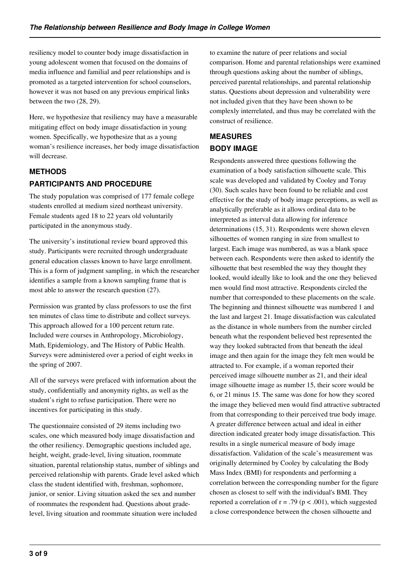resiliency model to counter body image dissatisfaction in young adolescent women that focused on the domains of media influence and familial and peer relationships and is promoted as a targeted intervention for school counselors, however it was not based on any previous empirical links between the two (28, 29).

Here, we hypothesize that resiliency may have a measurable mitigating effect on body image dissatisfaction in young women. Specifically, we hypothesize that as a young woman's resilience increases, her body image dissatisfaction will decrease.

# **METHODS PARTICIPANTS AND PROCEDURE**

The study population was comprised of 177 female college students enrolled at medium sized northeast university. Female students aged 18 to 22 years old voluntarily participated in the anonymous study.

The university's institutional review board approved this study. Participants were recruited through undergraduate general education classes known to have large enrollment. This is a form of judgment sampling, in which the researcher identifies a sample from a known sampling frame that is most able to answer the research question (27).

Permission was granted by class professors to use the first ten minutes of class time to distribute and collect surveys. This approach allowed for a 100 percent return rate. Included were courses in Anthropology, Microbiology, Math, Epidemiology, and The History of Public Health. Surveys were administered over a period of eight weeks in the spring of 2007.

All of the surveys were prefaced with information about the study, confidentially and anonymity rights, as well as the student's right to refuse participation. There were no incentives for participating in this study.

The questionnaire consisted of 29 items including two scales, one which measured body image dissatisfaction and the other resiliency. Demographic questions included age, height, weight, grade-level, living situation, roommate situation, parental relationship status, number of siblings and perceived relationship with parents. Grade level asked which class the student identified with, freshman, sophomore, junior, or senior. Living situation asked the sex and number of roommates the respondent had. Questions about gradelevel, living situation and roommate situation were included

to examine the nature of peer relations and social comparison. Home and parental relationships were examined through questions asking about the number of siblings, perceived parental relationships, and parental relationship status. Questions about depression and vulnerability were not included given that they have been shown to be complexly interrelated, and thus may be correlated with the construct of resilience.

# **MEASURES BODY IMAGE**

Respondents answered three questions following the examination of a body satisfaction silhouette scale. This scale was developed and validated by Cooley and Toray (30). Such scales have been found to be reliable and cost effective for the study of body image perceptions, as well as analytically preferable as it allows ordinal data to be interpreted as interval data allowing for inference determinations (15, 31). Respondents were shown eleven silhouettes of women ranging in size from smallest to largest. Each image was numbered, as was a blank space between each. Respondents were then asked to identify the silhouette that best resembled the way they thought they looked, would ideally like to look and the one they believed men would find most attractive. Respondents circled the number that corresponded to these placements on the scale. The beginning and thinnest silhouette was numbered 1 and the last and largest 21. Image dissatisfaction was calculated as the distance in whole numbers from the number circled beneath what the respondent believed best represented the way they looked subtracted from that beneath the ideal image and then again for the image they felt men would be attracted to. For example, if a woman reported their perceived image silhouette number as 21, and their ideal image silhouette image as number 15, their score would be 6, or 21 minus 15. The same was done for how they scored the image they believed men would find attractive subtracted from that corresponding to their perceived true body image. A greater difference between actual and ideal in either direction indicated greater body image dissatisfaction. This results in a single numerical measure of body image dissatisfaction. Validation of the scale's measurement was originally determined by Cooley by calculating the Body Mass Index (BMI) for respondents and performing a correlation between the corresponding number for the figure chosen as closest to self with the individual's BMI. They reported a correlation of  $r = .79$  ( $p < .001$ ), which suggested a close correspondence between the chosen silhouette and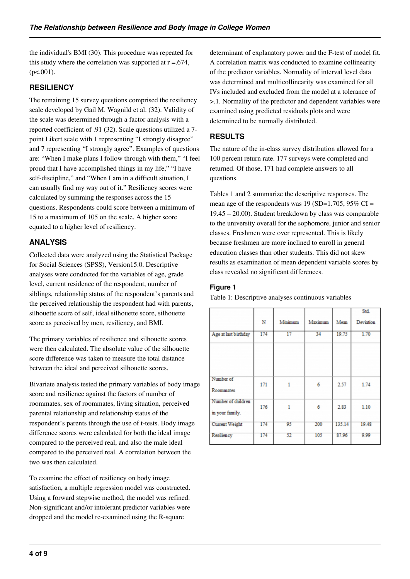the individual's BMI (30). This procedure was repeated for this study where the correlation was supported at  $r = .674$ ,  $(p<.001)$ .

### **RESILIENCY**

The remaining 15 survey questions comprised the resiliency scale developed by Gail M. Wagnild et al. (32). Validity of the scale was determined through a factor analysis with a reported coefficient of .91 (32). Scale questions utilized a 7 point Likert scale with 1 representing "I strongly disagree" and 7 representing "I strongly agree". Examples of questions are: "When I make plans I follow through with them," "I feel proud that I have accomplished things in my life," "I have self-discipline," and "When I am in a difficult situation, I can usually find my way out of it." Resiliency scores were calculated by summing the responses across the 15 questions. Respondents could score between a minimum of 15 to a maximum of 105 on the scale. A higher score equated to a higher level of resiliency.

# **ANALYSIS**

Collected data were analyzed using the Statistical Package for Social Sciences (SPSS), Version15.0. Descriptive analyses were conducted for the variables of age, grade level, current residence of the respondent, number of siblings, relationship status of the respondent's parents and the perceived relationship the respondent had with parents, silhouette score of self, ideal silhouette score, silhouette score as perceived by men, resiliency, and BMI.

The primary variables of resilience and silhouette scores were then calculated. The absolute value of the silhouette score difference was taken to measure the total distance between the ideal and perceived silhouette scores.

Bivariate analysis tested the primary variables of body image score and resilience against the factors of number of roommates, sex of roommates, living situation, perceived parental relationship and relationship status of the respondent's parents through the use of t-tests. Body image difference scores were calculated for both the ideal image compared to the perceived real, and also the male ideal compared to the perceived real. A correlation between the two was then calculated.

To examine the effect of resiliency on body image satisfaction, a multiple regression model was constructed. Using a forward stepwise method, the model was refined. Non-significant and/or intolerant predictor variables were dropped and the model re-examined using the R-square

determinant of explanatory power and the F-test of model fit. A correlation matrix was conducted to examine collinearity of the predictor variables. Normality of interval level data was determined and multicollinearity was examined for all IVs included and excluded from the model at a tolerance of >.1. Normality of the predictor and dependent variables were examined using predicted residuals plots and were determined to be normally distributed.

# **RESULTS**

The nature of the in-class survey distribution allowed for a 100 percent return rate. 177 surveys were completed and returned. Of those, 171 had complete answers to all questions.

Tables 1 and 2 summarize the descriptive responses. The mean age of the respondents was 19 (SD=1.705,  $95\%$  CI = 19.45 – 20.00). Student breakdown by class was comparable to the university overall for the sophomore, junior and senior classes. Freshmen were over represented. This is likely because freshmen are more inclined to enroll in general education classes than other students. This did not skew results as examination of mean dependent variable scores by class revealed no significant differences.

#### **Figure 1**

Table 1: Descriptive analyses continuous variables

|                                       | N   | Minimum | Maximum | Mean   | Std.<br>Deviation |
|---------------------------------------|-----|---------|---------|--------|-------------------|
| Age at last birthday                  | 174 | 17      | 34      | 19.75  | 1.70              |
| Number of<br>Roommates                | 171 | 1       | 6       | 2.57   | 1.74              |
| Number of children<br>in your family. | 176 | 1       | 6       | 2.83   | 1.10              |
| <b>Current Weight</b>                 | 174 | 95      | 200     | 135.14 | 19.48             |
| Resiliency                            | 174 | 52      | 105     | 87.96  | 9.99              |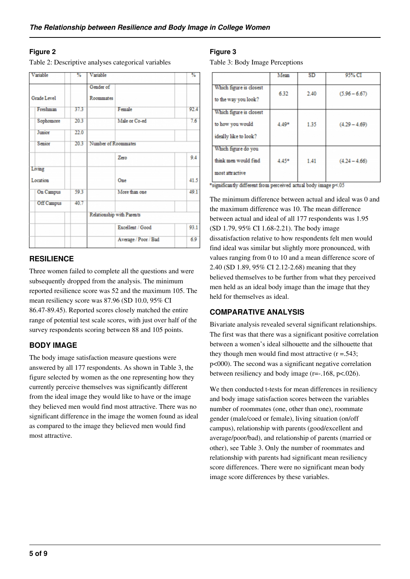#### **Figure 2**

Table 2: Descriptive analyses categorical variables

| Variable           | %    | Variable                  |                      | $\%$ |
|--------------------|------|---------------------------|----------------------|------|
|                    |      | Gender of                 |                      |      |
| Grade Level        |      | Roommates                 |                      |      |
| Freshman           | 37.3 |                           | Female               | 92.4 |
| Sophomore          | 20.3 |                           | Male or Co-ed        | 7.6  |
| Junior             | 22.0 |                           |                      |      |
| Senior             | 20.3 | Number of Roommates       |                      |      |
|                    |      |                           | Zero                 | 9.4  |
| Living             |      |                           |                      |      |
| Location           |      |                           | One                  | 41.5 |
| On Campus          | 59.3 |                           | More than one        | 49.1 |
| 40.7<br>Off Campus |      |                           |                      |      |
|                    |      | Relationship with Parents |                      |      |
|                    |      |                           | Excellent / Good     | 93.1 |
|                    |      |                           | Average / Poor / Bad | 6.9  |

#### **RESILIENCE**

Three women failed to complete all the questions and were subsequently dropped from the analysis. The minimum reported resilience score was 52 and the maximum 105. The mean resiliency score was 87.96 (SD 10.0, 95% CI 86.47-89.45). Reported scores closely matched the entire range of potential test scale scores, with just over half of the survey respondents scoring between 88 and 105 points.

#### **BODY IMAGE**

The body image satisfaction measure questions were answered by all 177 respondents. As shown in Table 3, the figure selected by women as the one representing how they currently perceive themselves was significantly different from the ideal image they would like to have or the image they believed men would find most attractive. There was no significant difference in the image the women found as ideal as compared to the image they believed men would find most attractive.

#### **Figure 3**

Table 3: Body Image Perceptions

|                                                                      | Mean  | <b>SD</b> | 95% CI          |
|----------------------------------------------------------------------|-------|-----------|-----------------|
| Which figure is closest<br>to the way you look?                      | 6.32  | 2.40      | $(5.96 - 6.67)$ |
| Which figure is closest<br>to how you would<br>ideally like to look? | 4.49* | 1.35      | $(4.29 - 4.69)$ |
| Which figure do you<br>think men would find<br>most attractive       | 4.45* | 1.41      | $(4.24 - 4.66)$ |

\*significantly different from perceived actual body image p<.05

The minimum difference between actual and ideal was 0 and the maximum difference was 10. The mean difference between actual and ideal of all 177 respondents was 1.95 (SD 1.79, 95% CI 1.68-2.21). The body image dissatisfaction relative to how respondents felt men would find ideal was similar but slightly more pronounced, with values ranging from 0 to 10 and a mean difference score of 2.40 (SD 1.89, 95% CI 2.12-2.68) meaning that they believed themselves to be further from what they perceived men held as an ideal body image than the image that they held for themselves as ideal.

# **COMPARATIVE ANALYSIS**

Bivariate analysis revealed several significant relationships. The first was that there was a significant positive correlation between a women's ideal silhouette and the silhouette that they though men would find most attractive  $(r = .543; )$ p<000). The second was a significant negative correlation between resiliency and body image  $(r=.168, p<.026)$ .

We then conducted t-tests for mean differences in resiliency and body image satisfaction scores between the variables number of roommates (one, other than one), roommate gender (male/coed or female), living situation (on/off campus), relationship with parents (good/excellent and average/poor/bad), and relationship of parents (married or other), see Table 3. Only the number of roommates and relationship with parents had significant mean resiliency score differences. There were no significant mean body image score differences by these variables.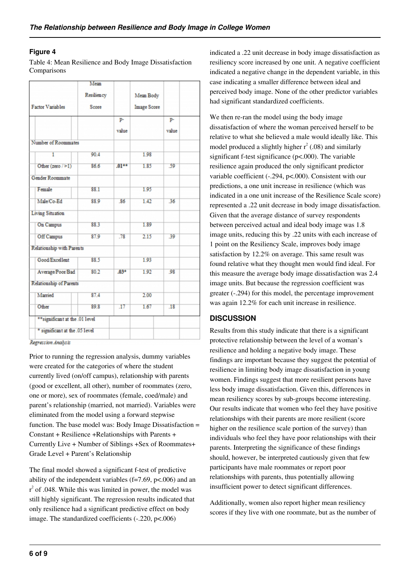#### **Figure 4**

Table 4: Mean Resilience and Body Image Dissatisfaction Comparisons

|                                 | Mean       |         |                    |       |  |
|---------------------------------|------------|---------|--------------------|-------|--|
|                                 | Resiliency |         | Mean Body          |       |  |
| <b>Factor Variables</b>         | Score      |         | <b>Image Score</b> |       |  |
|                                 |            | p-      |                    | p-    |  |
|                                 |            | value   |                    | value |  |
| Number of Roommates             |            |         |                    |       |  |
| 1                               | 90.4       |         | 1.98               |       |  |
| Other (zero $/$ >1)             | 86.6       | $.01**$ | 1.85               | .59   |  |
| <b>Gender Roommate</b>          |            |         |                    |       |  |
| Female                          | 88.1       |         | 1.95               |       |  |
| Male/Co-Ed                      | 88.9       | 86      | 1.42               | 36    |  |
| <b>Living Situation</b>         |            |         |                    |       |  |
| On Campus                       | 88.3       |         | 1.89               |       |  |
| Off Campus                      | 87.9       | .78     | 2.15               | 39    |  |
| Relationship with Parents       |            |         |                    |       |  |
| Good/Excellent                  | 88.5       |         | 1.93               |       |  |
| Average Poor Bad                | 80.2       | $.03*$  | 1.92               | 98    |  |
| Relationship of Parents         |            |         |                    |       |  |
| Married                         | 87.4       |         | 2.00               |       |  |
| Other                           | 89.8       | .17     | 1.67               | .18   |  |
| ** significant at the .01 level |            |         |                    |       |  |
| * significant at the .05 level  |            |         |                    |       |  |
|                                 |            |         |                    |       |  |

Regression Analysis

Prior to running the regression analysis, dummy variables were created for the categories of where the student currently lived (on/off campus), relationship with parents (good or excellent, all other), number of roommates (zero, one or more), sex of roommates (female, coed/male) and parent's relationship (married, not married). Variables were eliminated from the model using a forward stepwise function. The base model was: Body Image Dissatisfaction = Constant + Resilience +Relationships with Parents + Currently Live + Number of Siblings +Sex of Roommates+ Grade Level + Parent's Relationship

The final model showed a significant f-test of predictive ability of the independent variables  $(f=7.69, p<.006)$  and an  $r^2$  of .048. While this was limited in power, the model was still highly significant. The regression results indicated that only resilience had a significant predictive effect on body image. The standardized coefficients (-.220, p<.006)

indicated a .22 unit decrease in body image dissatisfaction as resiliency score increased by one unit. A negative coefficient indicated a negative change in the dependent variable, in this case indicating a smaller difference between ideal and perceived body image. None of the other predictor variables had significant standardized coefficients.

We then re-ran the model using the body image dissatisfaction of where the woman perceived herself to be relative to what she believed a male would ideally like. This model produced a slightly higher  $r^2$  (.08) and similarly significant f-test significance (p<.000). The variable resilience again produced the only significant predictor variable coefficient (-.294, p<.000). Consistent with our predictions, a one unit increase in resilience (which was indicated in a one unit increase of the Resilience Scale score) represented a .22 unit decrease in body image dissatisfaction. Given that the average distance of survey respondents between perceived actual and ideal body image was 1.8 image units, reducing this by .22 units with each increase of 1 point on the Resiliency Scale, improves body image satisfaction by 12.2% on average. This same result was found relative what they thought men would find ideal. For this measure the average body image dissatisfaction was 2.4 image units. But because the regression coefficient was greater (-.294) for this model, the percentage improvement was again 12.2% for each unit increase in resilience.

#### **DISCUSSION**

Results from this study indicate that there is a significant protective relationship between the level of a woman's resilience and holding a negative body image. These findings are important because they suggest the potential of resilience in limiting body image dissatisfaction in young women. Findings suggest that more resilient persons have less body image dissatisfaction. Given this, differences in mean resiliency scores by sub-groups become interesting. Our results indicate that women who feel they have positive relationships with their parents are more resilient (score higher on the resilience scale portion of the survey) than individuals who feel they have poor relationships with their parents. Interpreting the significance of these findings should, however, be interpreted cautiously given that few participants have male roommates or report poor relationships with parents, thus potentially allowing insufficient power to detect significant differences.

Additionally, women also report higher mean resiliency scores if they live with one roommate, but as the number of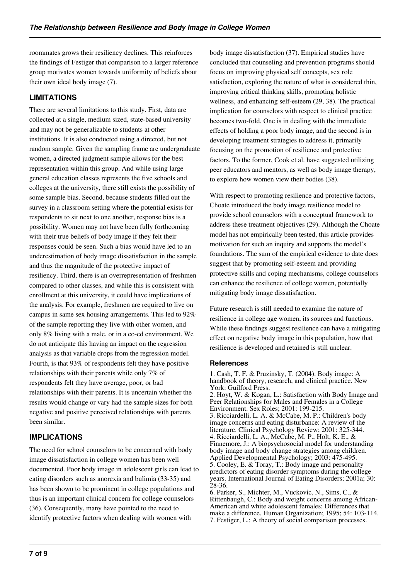roommates grows their resiliency declines. This reinforces the findings of Festiger that comparison to a larger reference group motivates women towards uniformity of beliefs about their own ideal body image (7).

# **LIMITATIONS**

There are several limitations to this study. First, data are collected at a single, medium sized, state-based university and may not be generalizable to students at other institutions. It is also conducted using a directed, but not random sample. Given the sampling frame are undergraduate women, a directed judgment sample allows for the best representation within this group. And while using large general education classes represents the five schools and colleges at the university, there still exists the possibility of some sample bias. Second, because students filled out the survey in a classroom setting where the potential exists for respondents to sit next to one another, response bias is a possibility. Women may not have been fully forthcoming with their true beliefs of body image if they felt their responses could be seen. Such a bias would have led to an underestimation of body image dissatisfaction in the sample and thus the magnitude of the protective impact of resiliency. Third, there is an overrepresentation of freshmen compared to other classes, and while this is consistent with enrollment at this university, it could have implications of the analysis. For example, freshmen are required to live on campus in same sex housing arrangements. This led to 92% of the sample reporting they live with other women, and only 8% living with a male, or in a co-ed environment. We do not anticipate this having an impact on the regression analysis as that variable drops from the regression model. Fourth, is that 93% of respondents felt they have positive relationships with their parents while only 7% of respondents felt they have average, poor, or bad relationships with their parents. It is uncertain whether the results would change or vary had the sample sizes for both negative and positive perceived relationships with parents been similar.

# **IMPLICATIONS**

The need for school counselors to be concerned with body image dissatisfaction in college women has been well documented. Poor body image in adolescent girls can lead to eating disorders such as anorexia and bulimia (33-35) and has been shown to be prominent in college populations and thus is an important clinical concern for college counselors (36). Consequently, many have pointed to the need to identify protective factors when dealing with women with

body image dissatisfaction (37). Empirical studies have concluded that counseling and prevention programs should focus on improving physical self concepts, sex role satisfaction, exploring the nature of what is considered thin, improving critical thinking skills, promoting holistic wellness, and enhancing self-esteem (29, 38). The practical implication for counselors with respect to clinical practice becomes two-fold. One is in dealing with the immediate effects of holding a poor body image, and the second is in developing treatment strategies to address it, primarily focusing on the promotion of resilience and protective factors. To the former, Cook et al. have suggested utilizing peer educators and mentors, as well as body image therapy, to explore how women view their bodies (38).

With respect to promoting resilience and protective factors, Choate introduced the body image resilience model to provide school counselors with a conceptual framework to address these treatment objectives (29). Although the Choate model has not empirically been tested, this article provides motivation for such an inquiry and supports the model's foundations. The sum of the empirical evidence to date does suggest that by promoting self-esteem and providing protective skills and coping mechanisms, college counselors can enhance the resilience of college women, potentially mitigating body image dissatisfaction.

Future research is still needed to examine the nature of resilience in college age women, its sources and functions. While these findings suggest resilience can have a mitigating effect on negative body image in this population, how that resilience is developed and retained is still unclear.

#### **References**

<sup>1.</sup> Cash, T. F. & Pruzinsky, T. (2004). Body image: A handbook of theory, research, and clinical practice. New York: Guilford Press. 2. Hoyt, W. & Kogan, L.: Satisfaction with Body Image and Peer Relationships for Males and Females in a College Environment. Sex Roles; 2001: 199-215. 3. Ricciardelli, L. A. & McCabe, M. P.: Children's body image concerns and eating disturbance: A review of the literature. Clinical Psychology Review; 2001: 325-344. 4. Ricciardelli, L. A., McCabe, M. P., Holt, K. E., & Finnemore, J.: A biopsychosocial model for understanding body image and body change strategies among children. Applied Developmental Psychology; 2003: 475-495. 5. Cooley, E. & Toray, T.: Body image and personality predictors of eating disorder symptoms during the college years. International Journal of Eating Disorders; 2001a; 30: 28-36. 6. Parker, S., Michter, M., Vuckovic, N., Sims, C., &

Rittenbaugh, C.: Body and weight concerns among African-American and white adolescent females: Differences that make a difference. Human Organization; 1995; 54: 103-114. 7. Festiger, L.: A theory of social comparison processes.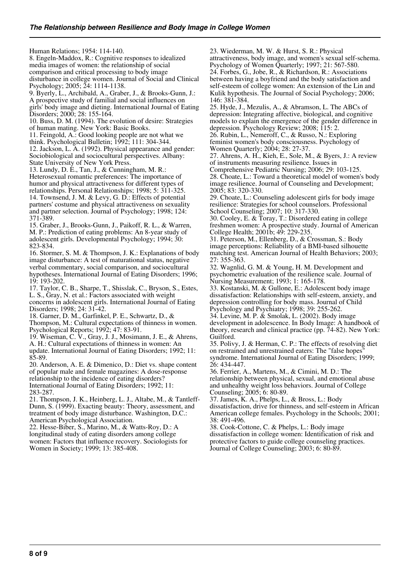Human Relations; 1954: 114-140. 8. Engeln-Maddox, R.: Cognitive responses to idealized media images of women: the relationship of social comparison and critical processing to body image disturbance in college women. Journal of Social and Clinical Psychology; 2005; 24: 1114-1138.

9. Byerly, L., Archibald, A., Graber, J., & Brooks-Gunn, J.: A prospective study of familial and social influences on girls' body image and dieting. International Journal of Eating Disorders; 2000; 28: 155-164.

10. Buss, D. M. (1994). The evolution of desire: Strategies of human mating. New York: Basic Books.

11. Feingold, A.: Good looking people are not what we think. Psychological Bulletin; 1992; 111: 304-344. 12. Jackson, L. A. (1992). Physical appearance and gender: Sociobiological and sociocultural perspectives. Albany: State University of New York Press.

13. Lundy, D. E., Tan, J., & Cunningham, M. R.: Heterosexual romantic preferences: The importance of humor and physical attractiveness for different types of relationships. Personal Relationships; 1998; 5: 311-325. 14. Townsend, J. M. & Levy, G. D.: Effects of potential partners' costume and physical attractiveness on sexuality and partner selection. Journal of Psychology; 1998; 124: 371-389.

15. Graber, J., Brooks-Gunn, J., Paikoff, R. L., & Warren, M. P.: Prediction of eating problems: An 8-year study of adolescent girls. Developmental Psychology; 1994; 30: 823-834.

16. Stormer, S. M. & Thompson, J. K.: Explanations of body image disturbance: A test of maturational status, negative verbal commentary, social comparison, and sociocultural hypotheses. International Journal of Eating Disorders; 1996; 19: 193-202.

17. Taylor, C. B., Sharpe, T., Shisslak, C., Bryson, S., Estes, L. S., Gray, N. et al.: Factors associated with weight concerns in adolescent girls. International Journal of Eating Disorders; 1998; 24: 31-42.

18. Garner, D. M., Garfinkel, P. E., Schwartz, D., & Thompson, M.: Cultural expectations of thinness in women. Psychological Reports; 1992; 47: 83-91.

19. Wiseman, C. V., Gray, J. J., Mosimann, J. E., & Ahrens, A. H.: Cultural expectations of thinness in women: An update. International Journal of Eating Disorders; 1992; 11: 85-89.

20. Anderson, A. E. & Dimenico, D.: Diet vs. shape content of popular male and female magazines: A dose-response relationship to the incidence of eating disorders? International Journal of Eating Disorders; 1992; 11: 283-287.

21. Thompson, J. K., Heinberg, L. J., Altabe, M., & Tantleff-Dunn, S. (1999). Exacting beauty: Theory, assessment, and treatment of body image disturbance. Washington, D.C.: American Psychological Association.

22. Hesse-Biber, S., Marino, M., & Watts-Roy, D.: A longitudinal study of eating disorders among college women: Factors that influence recovery. Sociologists for Women in Society; 1999; 13: 385-408.

23. Wiederman, M. W. & Hurst, S. R.: Physical attractiveness, body image, and women's sexual self-schema. Psychology of Women Quarterly; 1997; 21: 567-580. 24. Forbes, G., Jobe, R., & Richardson, R.: Associations between having a boyfriend and the body satisfaction and self-esteem of college women: An extension of the Lin and Kulik hypothesis. The Journal of Social Psychology; 2006;

146: 381-384. 25. Hyde, J., Mezulis, A., & Abramson, L. The ABCs of depression: Integrating affective, biological, and cognitive models to explain the emergence of the gender difference in depression. Psychology Review; 2008; 115: 2.

26. Rubin, L., Nemeroff, C., & Russo, N.: Exploring feminist women's body consciousness. Psychology of Women Quarterly; 2004; 28: 27-37.

27. Ahrens, A. H., Kieh, E., Sole, M., & Byers, J.: A review of instruments measuring resilience. Issues in

Comprehensive Pediatric Nursing; 2006; 29: 103-125. 28. Choate, L.: Toward a theoretical model of women's body image resilience. Journal of Counseling and Development; 2005; 83: 320-330.

29. Choate, L.: Counseling adolescent girls for body image resilience: Strategies for school counselors. Professional School Counseling; 2007; 10: 317-330.

30. Cooley, E. & Toray, T.: Disordered eating in college freshmen women: A prospective study. Journal of American College Health; 2001b; 49: 229-235.

31. Peterson, M., Ellenberg, D., & Crossman, S.: Body image perceptions: Reliability of a BMI-based silhouette matching test. American Journal of Health Behaviors; 2003; 27: 355-363.

32. Wagnlid, G. M. & Young, H. M. Development and psychometric evaluation of the resilience scale. Journal of Nursing Measurement; 1993; 1: 165-178.

33. Kostanski, M. & Gullone, E.: Adolescent body image dissatisfaction: Relationships with self-esteem, anxiety, and depression controlling for body mass. Journal of Child Psychology and Psychiatry; 1998; 39: 255-262.

34. Levine, M. P. & Smolak, L. (2002). Body image development in adolescence. In Body Image: A handbook of theory, research and clinical practice (pp. 74-82). New York: Guilford.

35. Polivy, J. & Herman, C. P.: The effects of resolving diet on restrained and unrestrained eaters: The "false hopes" syndrome. International Journal of Eating Disorders; 1999; 26: 434-447.

36. Ferrier, A., Martens, M., & Cimini, M. D.: The relationship between physical, sexual, and emotional abuse and unhealthy weight loss behaviors. Journal of College Counseling; 2005; 6: 80-89.

37. James, K. A., Phelps, L., & Bross, L.: Body dissatisfaction, drive for thinness, and self-esteem in African American college females. Psychology in the Schools; 2001; 38: 491-496.

38. Cook-Cottone, C. & Phelps, L.: Body image dissatisfaction in college women: Identification of risk and protective factors to guide college counseling practices. Journal of College Counseling; 2003; 6: 80-89.